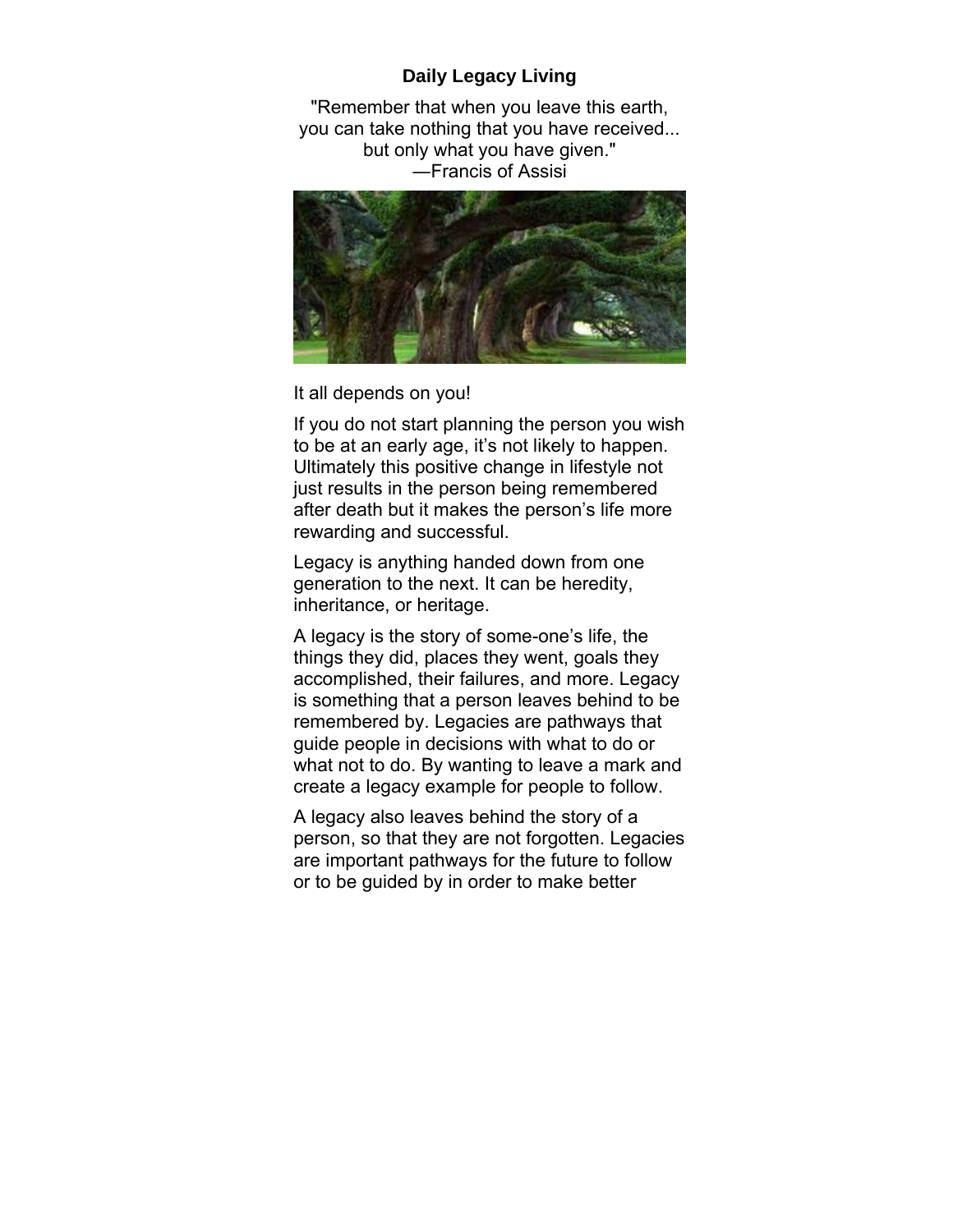## **Daily Legacy Living**

"Remember that when you leave this earth, you can take nothing that you have received... but only what you have given." ―Francis of Assisi



It all depends on you!

If you do not start planning the person you wish to be at an early age, it's not likely to happen. Ultimately this positive change in lifestyle not just results in the person being remembered after death but it makes the person's life more rewarding and successful.

Legacy is anything handed down from one generation to the next. It can be heredity, inheritance, or heritage.

A legacy is the story of some-one's life, the things they did, places they went, goals they accomplished, their failures, and more. Legacy is something that a person leaves behind to be remembered by. Legacies are pathways that guide people in decisions with what to do or what not to do. By wanting to leave a mark and create a legacy example for people to follow.

A legacy also leaves behind the story of a person, so that they are not forgotten. Legacies are important pathways for the future to follow or to be guided by in order to make better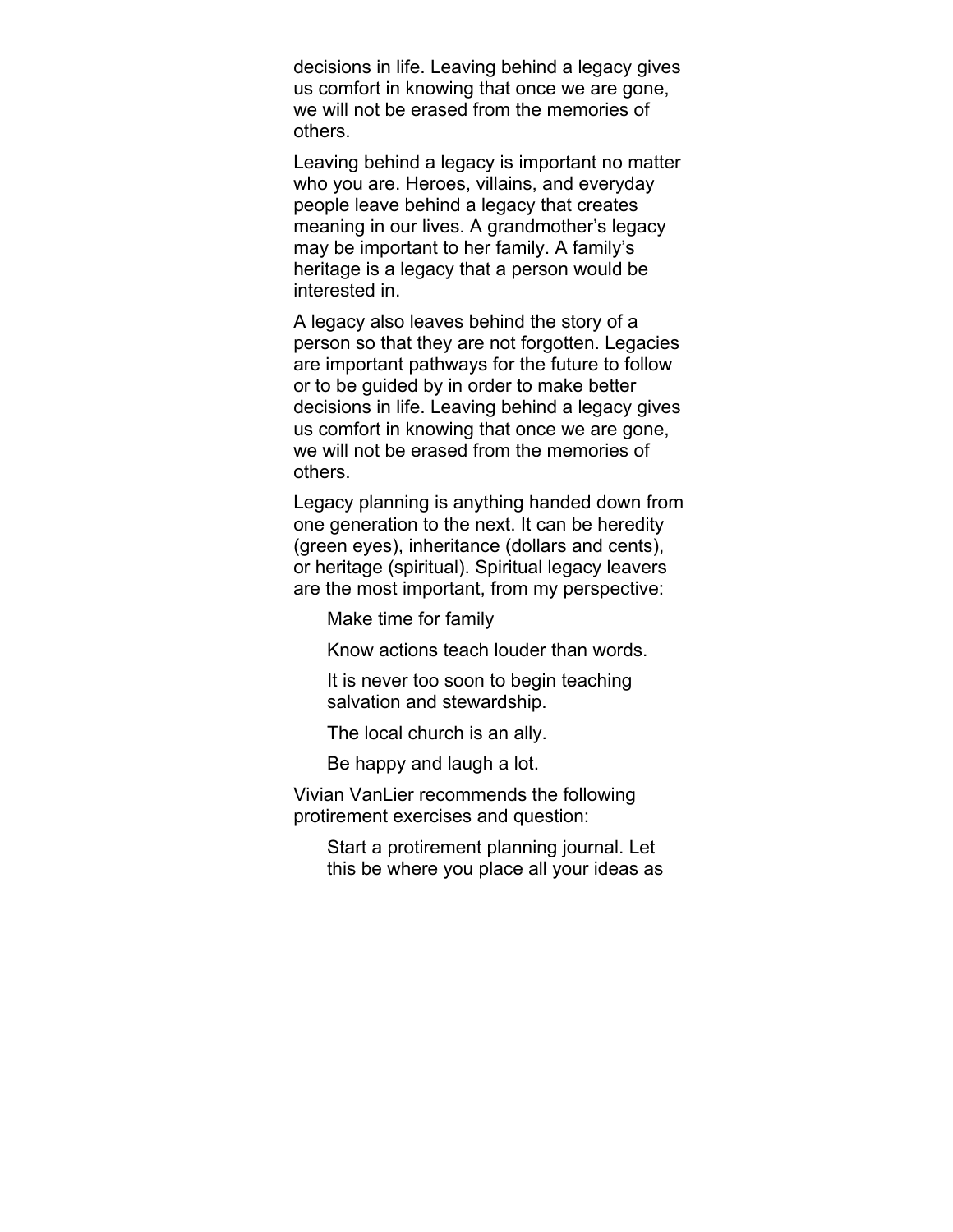decisions in life. Leaving behind a legacy gives us comfort in knowing that once we are gone, we will not be erased from the memories of others.

Leaving behind a legacy is important no matter who you are. Heroes, villains, and everyday people leave behind a legacy that creates meaning in our lives. A grandmother's legacy may be important to her family. A family's heritage is a legacy that a person would be interested in.

A legacy also leaves behind the story of a person so that they are not forgotten. Legacies are important pathways for the future to follow or to be guided by in order to make better decisions in life. Leaving behind a legacy gives us comfort in knowing that once we are gone, we will not be erased from the memories of others.

Legacy planning is anything handed down from one generation to the next. It can be heredity (green eyes), inheritance (dollars and cents), or heritage (spiritual). Spiritual legacy leavers are the most important, from my perspective:

Make time for family

Know actions teach louder than words.

It is never too soon to begin teaching salvation and stewardship.

The local church is an ally.

Be happy and laugh a lot.

Vivian VanLier recommends the following protirement exercises and question:

Start a protirement planning journal. Let this be where you place all your ideas as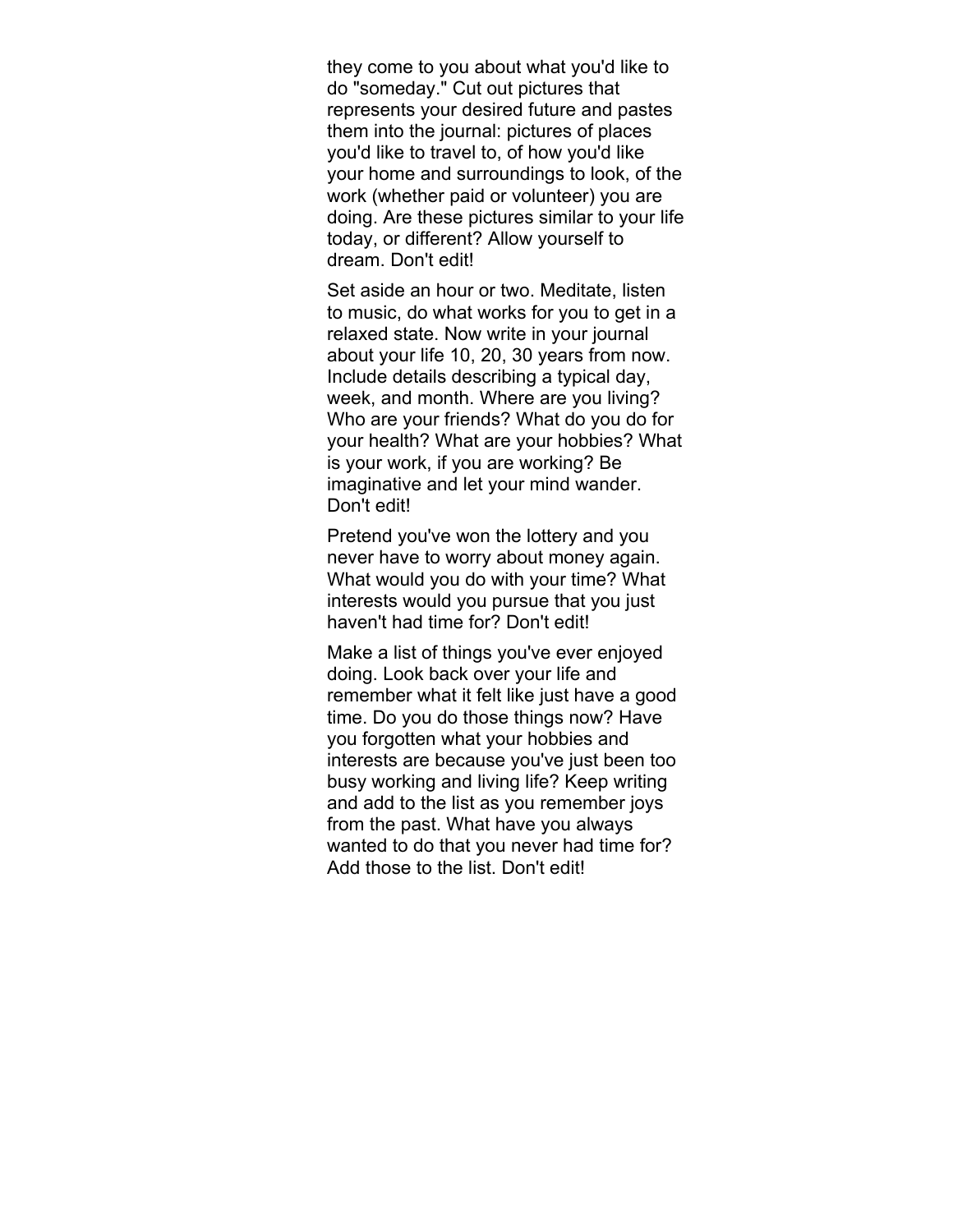they come to you about what you'd like to do "someday." Cut out pictures that represents your desired future and pastes them into the journal: pictures of places you'd like to travel to, of how you'd like your home and surroundings to look, of the work (whether paid or volunteer) you are doing. Are these pictures similar to your life today, or different? Allow yourself to dream. Don't edit!

Set aside an hour or two. Meditate, listen to music, do what works for you to get in a relaxed state. Now write in your journal about your life 10, 20, 30 years from now. Include details describing a typical day, week, and month. Where are you living? Who are your friends? What do you do for your health? What are your hobbies? What is your work, if you are working? Be imaginative and let your mind wander. Don't edit!

Pretend you've won the lottery and you never have to worry about money again. What would you do with your time? What interests would you pursue that you just haven't had time for? Don't edit!

Make a list of things you've ever enjoyed doing. Look back over your life and remember what it felt like just have a good time. Do you do those things now? Have you forgotten what your hobbies and interests are because you've just been too busy working and living life? Keep writing and add to the list as you remember joys from the past. What have you always wanted to do that you never had time for? Add those to the list. Don't edit!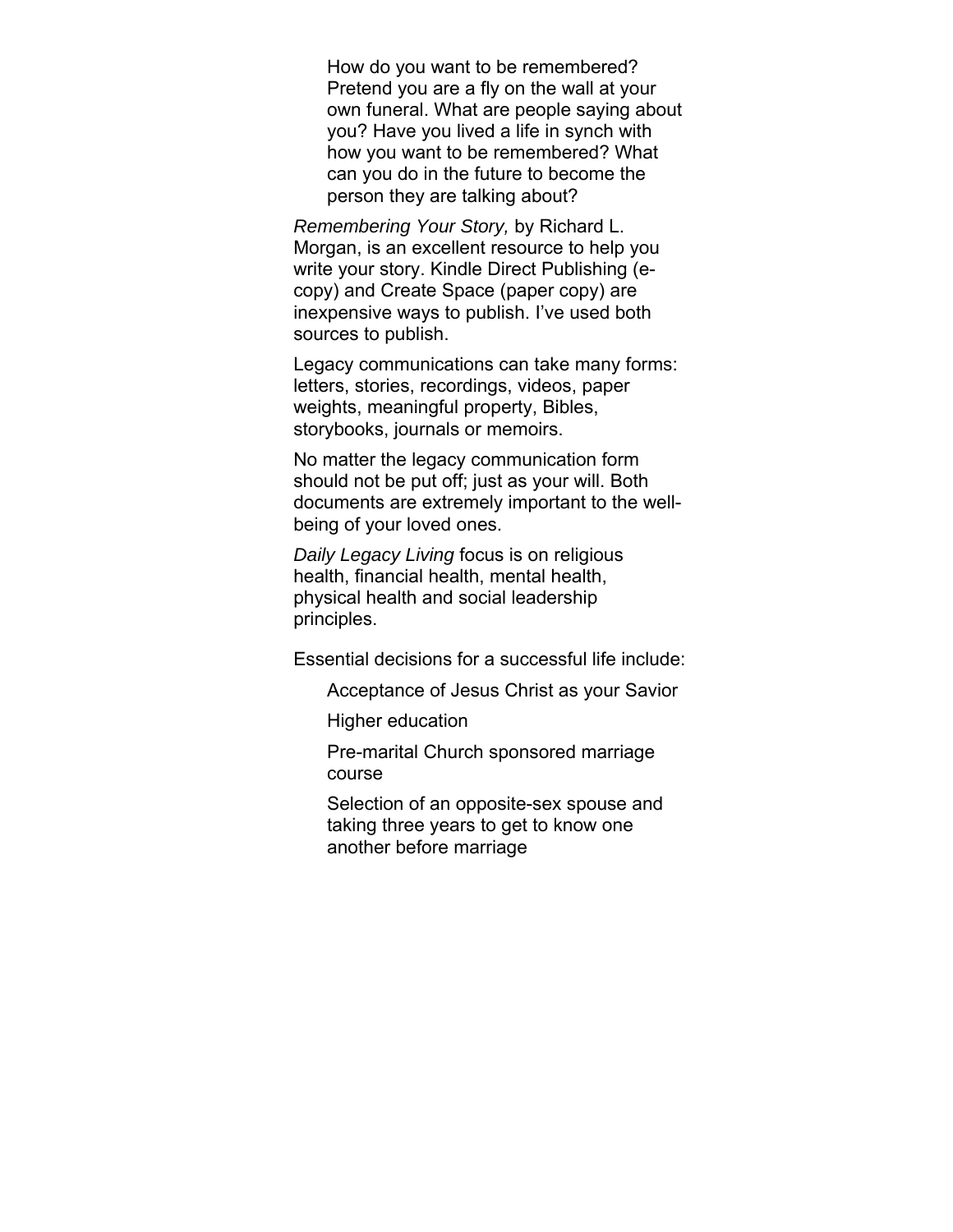How do you want to be remembered? Pretend you are a fly on the wall at your own funeral. What are people saying about you? Have you lived a life in synch with how you want to be remembered? What can you do in the future to become the person they are talking about?

*Remembering Your Story,* by Richard L. Morgan, is an excellent resource to help you write your story. Kindle Direct Publishing (ecopy) and Create Space (paper copy) are inexpensive ways to publish. I've used both sources to publish.

Legacy communications can take many forms: letters, stories, recordings, videos, paper weights, meaningful property, Bibles, storybooks, journals or memoirs.

No matter the legacy communication form should not be put off; just as your will. Both documents are extremely important to the wellbeing of your loved ones.

*Daily Legacy Living* focus is on religious health, financial health, mental health, physical health and social leadership principles.

Essential decisions for a successful life include:

Acceptance of Jesus Christ as your Savior

Higher education

Pre-marital Church sponsored marriage course

Selection of an opposite-sex spouse and taking three years to get to know one another before marriage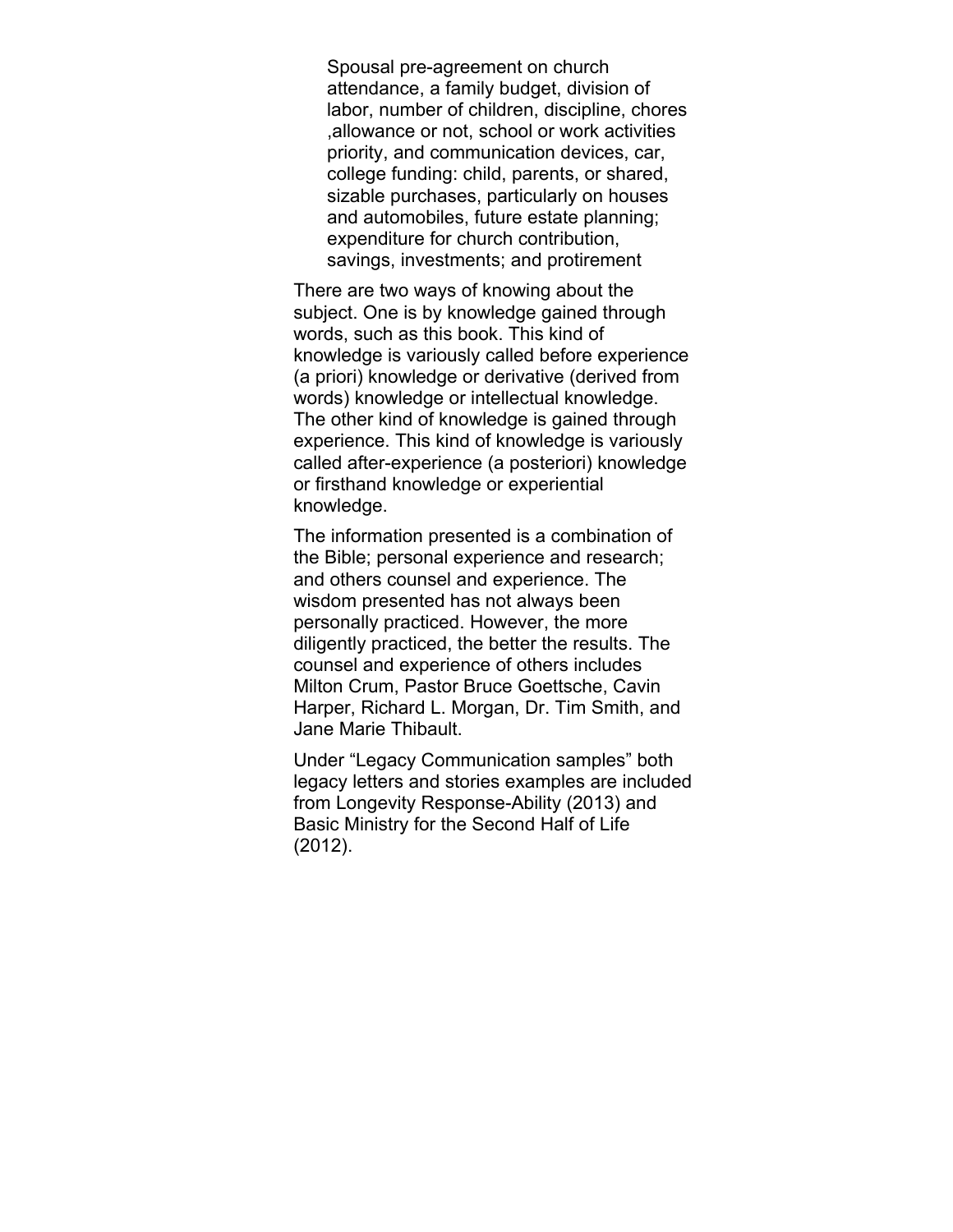Spousal pre-agreement on church attendance, a family budget, division of labor, number of children, discipline, chores ,allowance or not, school or work activities priority, and communication devices, car, college funding: child, parents, or shared, sizable purchases, particularly on houses and automobiles, future estate planning; expenditure for church contribution, savings, investments; and protirement

There are two ways of knowing about the subject. One is by knowledge gained through words, such as this book. This kind of knowledge is variously called before experience (a priori) knowledge or derivative (derived from words) knowledge or intellectual knowledge. The other kind of knowledge is gained through experience. This kind of knowledge is variously called after-experience (a posteriori) knowledge or firsthand knowledge or experiential knowledge.

The information presented is a combination of the Bible; personal experience and research; and others counsel and experience. The wisdom presented has not always been personally practiced. However, the more diligently practiced, the better the results. The counsel and experience of others includes Milton Crum, Pastor Bruce Goettsche, Cavin Harper, Richard L. Morgan, Dr. Tim Smith, and Jane Marie Thibault.

Under "Legacy Communication samples" both legacy letters and stories examples are included from Longevity Response-Ability (2013) and Basic Ministry for the Second Half of Life (2012).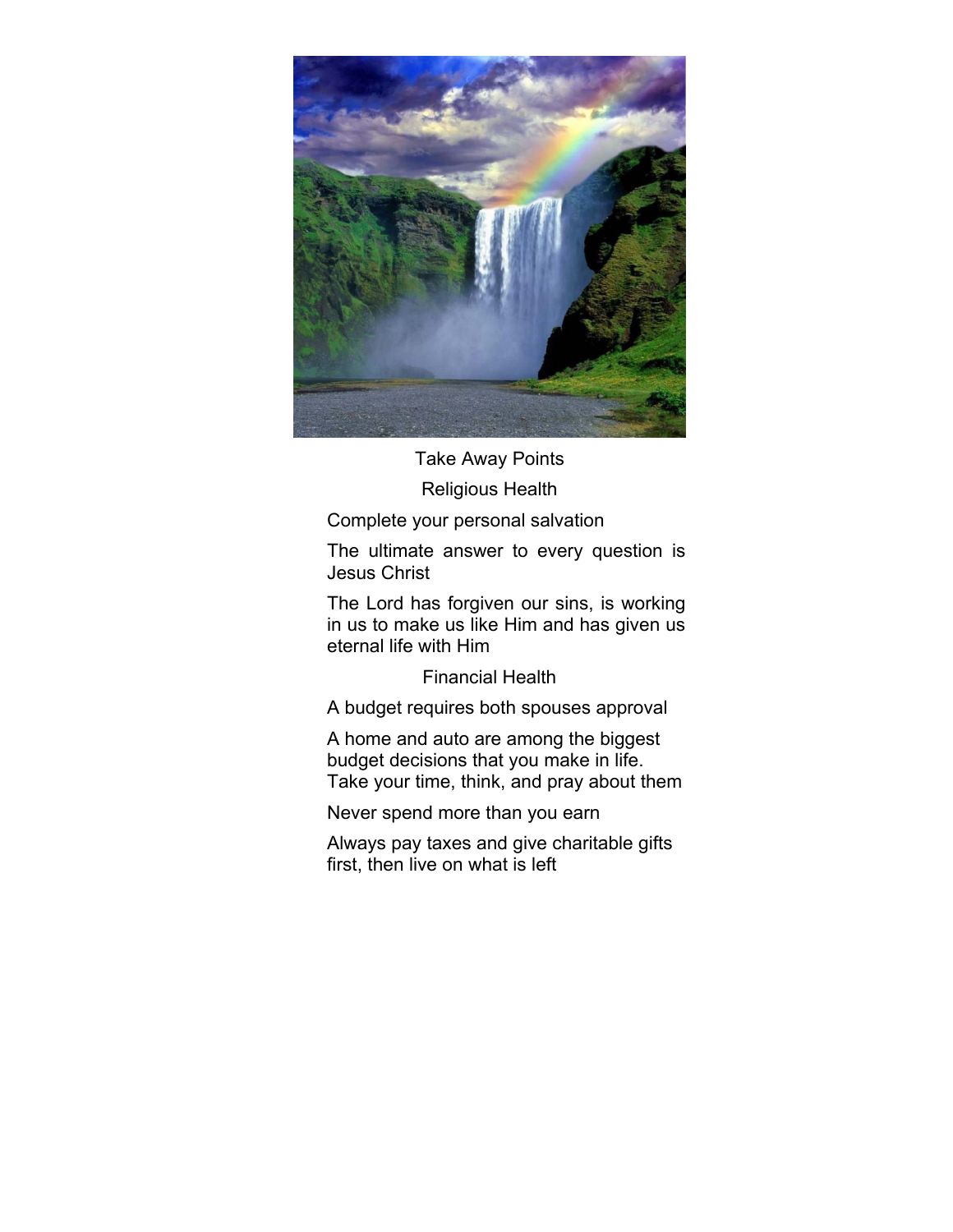

Take Away Points Religious Health

Complete your personal salvation

The ultimate answer to every question is Jesus Christ

The Lord has forgiven our sins, is working in us to make us like Him and has given us eternal life with Him

Financial Health

A budget requires both spouses approval

A home and auto are among the biggest budget decisions that you make in life. Take your time, think, and pray about them

Never spend more than you earn

Always pay taxes and give charitable gifts first, then live on what is left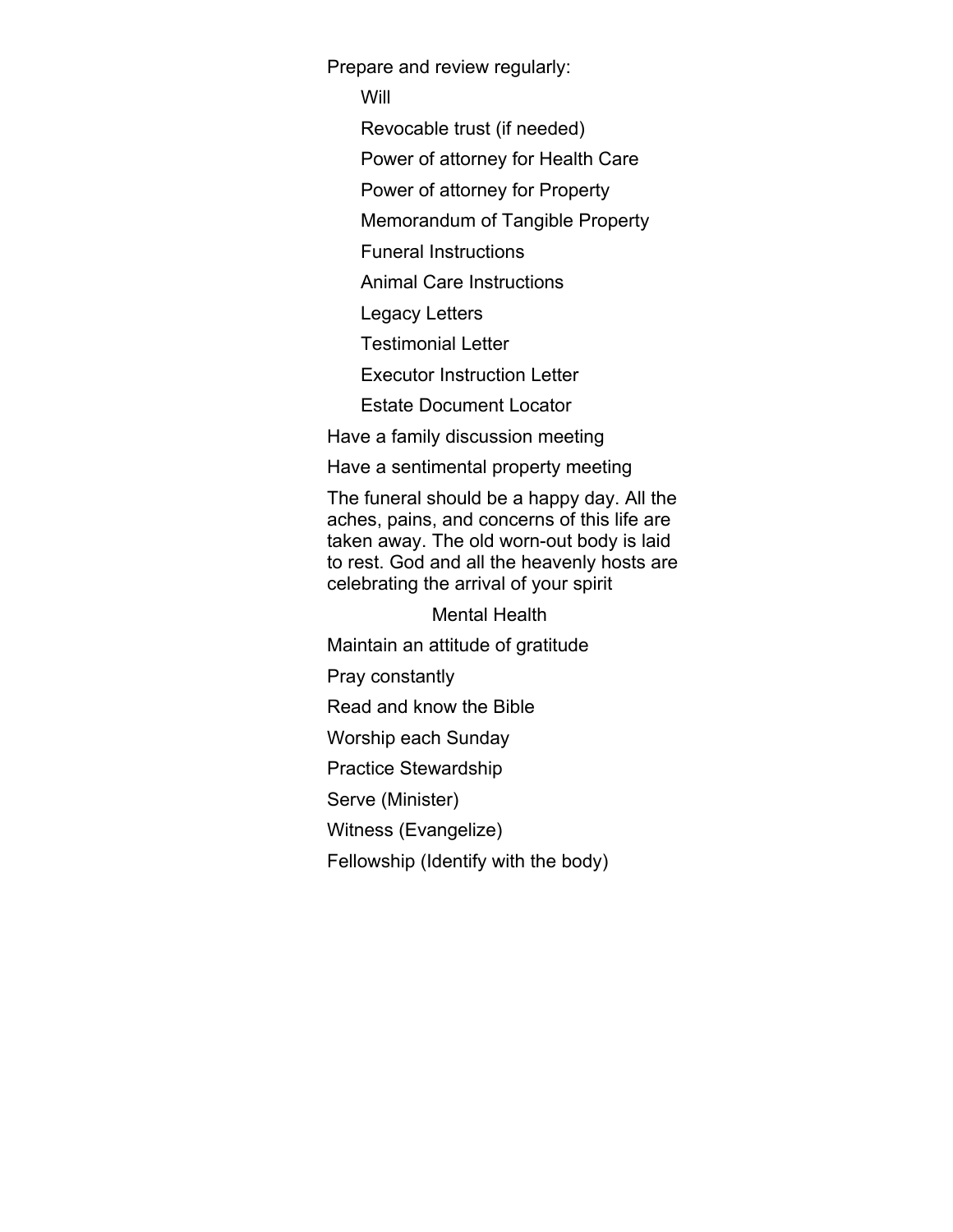Prepare and review regularly:

Will

Revocable trust (if needed)

Power of attorney for Health Care

Power of attorney for Property

Memorandum of Tangible Property

Funeral Instructions

Animal Care Instructions

Legacy Letters

Testimonial Letter

Executor Instruction Letter

Estate Document Locator

Have a family discussion meeting

Have a sentimental property meeting

The funeral should be a happy day. All the aches, pains, and concerns of this life are taken away. The old worn-out body is laid to rest. God and all the heavenly hosts are celebrating the arrival of your spirit

Mental Health

Maintain an attitude of gratitude

Pray constantly

Read and know the Bible

Worship each Sunday

Practice Stewardship

Serve (Minister)

Witness (Evangelize)

Fellowship (Identify with the body)